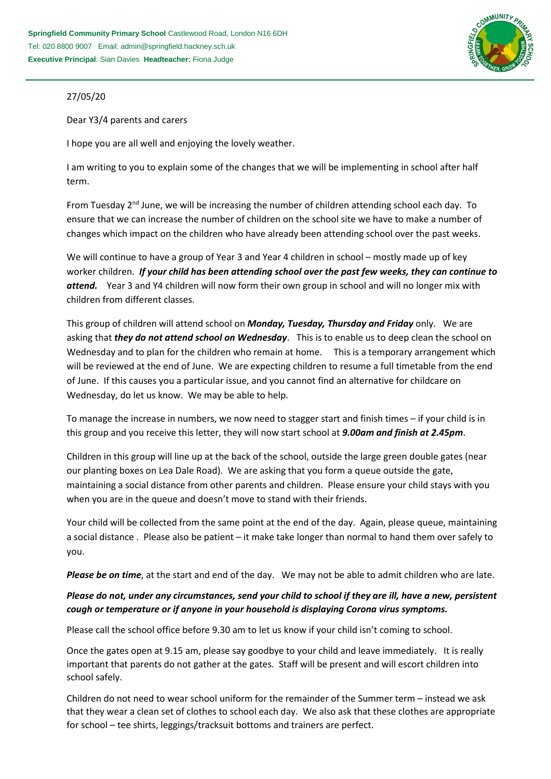

## 27/05/20

Dear Y3/4 parents and carers

I hope you are all well and enjoying the lovely weather.

I am writing to you to explain some of the changes that we will be implementing in school after half term.

From Tuesday  $2<sup>nd</sup>$  June, we will be increasing the number of children attending school each day. To ensure that we can increase the number of children on the school site we have to make a number of changes which impact on the children who have already been attending school over the past weeks.

We will continue to have a group of Year 3 and Year 4 children in school – mostly made up of key worker children. *If your child has been attending school over the past few weeks, they can continue to attend.* Year 3 and Y4 children will now form their own group in school and will no longer mix with children from different classes.

This group of children will attend school on *Monday, Tuesday, Thursday and Friday* only. We are asking that *they do not attend school on Wednesday*. This is to enable us to deep clean the school on Wednesday and to plan for the children who remain at home. This is a temporary arrangement which will be reviewed at the end of June. We are expecting children to resume a full timetable from the end of June. If this causes you a particular issue, and you cannot find an alternative for childcare on Wednesday, do let us know. We may be able to help.

To manage the increase in numbers, we now need to stagger start and finish times – if your child is in this group and you receive this letter, they will now start school at *9.00am and finish at 2.45pm*.

Children in this group will line up at the back of the school, outside the large green double gates (near our planting boxes on Lea Dale Road). We are asking that you form a queue outside the gate, maintaining a social distance from other parents and children. Please ensure your child stays with you when you are in the queue and doesn't move to stand with their friends.

Your child will be collected from the same point at the end of the day. Again, please queue, maintaining a social distance . Please also be patient – it make take longer than normal to hand them over safely to you.

*Please be on time*, at the start and end of the day. We may not be able to admit children who are late.

## *Please do not, under any circumstances, send your child to school if they are ill, have a new, persistent cough or temperature or if anyone in your household is displaying Corona virus symptoms.*

Please call the school office before 9.30 am to let us know if your child isn't coming to school.

Once the gates open at 9.15 am, please say goodbye to your child and leave immediately. It is really important that parents do not gather at the gates. Staff will be present and will escort children into school safely.

Children do not need to wear school uniform for the remainder of the Summer term – instead we ask that they wear a clean set of clothes to school each day. We also ask that these clothes are appropriate for school – tee shirts, leggings/tracksuit bottoms and trainers are perfect.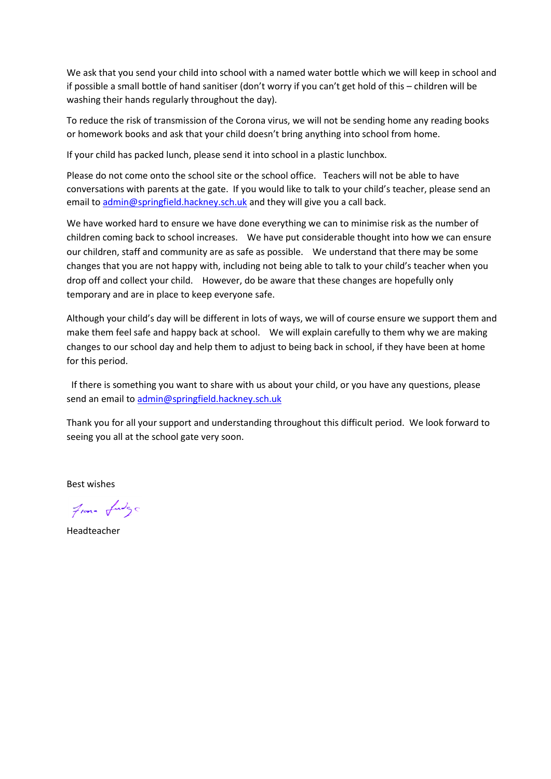We ask that you send your child into school with a named water bottle which we will keep in school and if possible a small bottle of hand sanitiser (don't worry if you can't get hold of this – children will be washing their hands regularly throughout the day).

To reduce the risk of transmission of the Corona virus, we will not be sending home any reading books or homework books and ask that your child doesn't bring anything into school from home.

If your child has packed lunch, please send it into school in a plastic lunchbox.

Please do not come onto the school site or the school office. Teachers will not be able to have conversations with parents at the gate. If you would like to talk to your child's teacher, please send an email to [admin@springfield.hackney.sch.uk](mailto:admin@springfield.hackney.sch.uk) and they will give you a call back.

We have worked hard to ensure we have done everything we can to minimise risk as the number of children coming back to school increases. We have put considerable thought into how we can ensure our children, staff and community are as safe as possible. We understand that there may be some changes that you are not happy with, including not being able to talk to your child's teacher when you drop off and collect your child. However, do be aware that these changes are hopefully only temporary and are in place to keep everyone safe.

Although your child's day will be different in lots of ways, we will of course ensure we support them and make them feel safe and happy back at school. We will explain carefully to them why we are making changes to our school day and help them to adjust to being back in school, if they have been at home for this period.

 If there is something you want to share with us about your child, or you have any questions, please send an email to [admin@springfield.hackney.sch.uk](mailto:admin@springfield.hackney.sch.uk) 

Thank you for all your support and understanding throughout this difficult period. We look forward to seeing you all at the school gate very soon.

Best wishes

From fudge

Headteacher